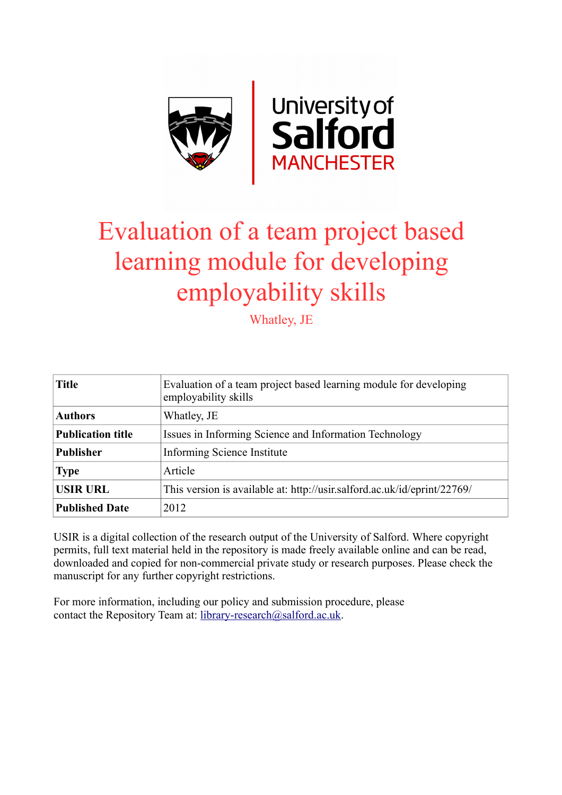

# Evaluation of a team project based learning module for developing employability skills

Whatley, JE

| <b>Title</b>             | Evaluation of a team project based learning module for developing<br>employability skills |
|--------------------------|-------------------------------------------------------------------------------------------|
| <b>Authors</b>           | Whatley, JE                                                                               |
| <b>Publication title</b> | Issues in Informing Science and Information Technology                                    |
| <b>Publisher</b>         | Informing Science Institute                                                               |
| <b>Type</b>              | Article                                                                                   |
| <b>USIR URL</b>          | This version is available at: http://usir.salford.ac.uk/id/eprint/22769/                  |
| <b>Published Date</b>    | 2012                                                                                      |

USIR is a digital collection of the research output of the University of Salford. Where copyright permits, full text material held in the repository is made freely available online and can be read, downloaded and copied for non-commercial private study or research purposes. Please check the manuscript for any further copyright restrictions.

For more information, including our policy and submission procedure, please contact the Repository Team at: [library-research@salford.ac.uk.](mailto:library-research@salford.ac.uk)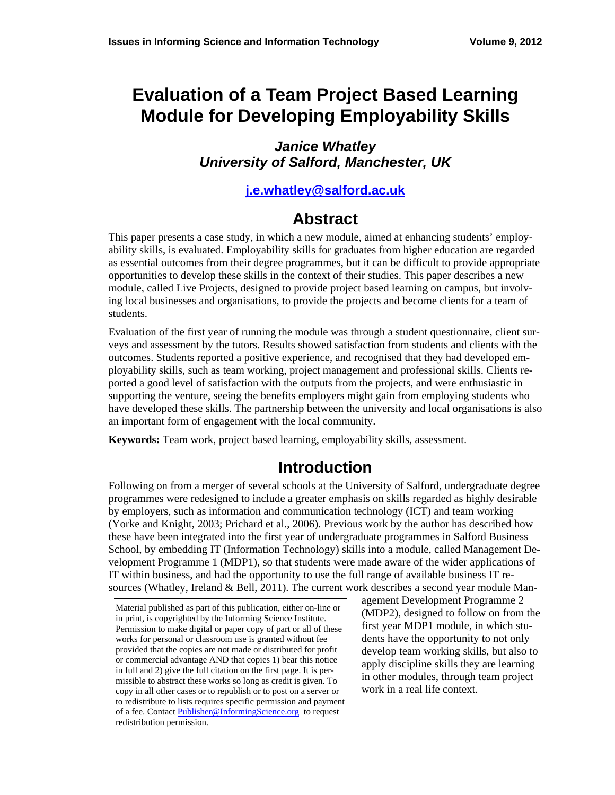# **Evaluation of a Team Project Based Learning Module for Developing Employability Skills**

#### *Janice Whatley University of Salford, Manchester, UK*

#### **[j.e.whatley@salford.ac.uk](mailto:j.e.whatley@salford.ac.uk)**

### **Abstract**

This paper presents a case study, in which a new module, aimed at enhancing students' employability skills, is evaluated. Employability skills for graduates from higher education are regarded as essential outcomes from their degree programmes, but it can be difficult to provide appropriate opportunities to develop these skills in the context of their studies. This paper describes a new module, called Live Projects, designed to provide project based learning on campus, but involving local businesses and organisations, to provide the projects and become clients for a team of students.

Evaluation of the first year of running the module was through a student questionnaire, client surveys and assessment by the tutors. Results showed satisfaction from students and clients with the outcomes. Students reported a positive experience, and recognised that they had developed employability skills, such as team working, project management and professional skills. Clients reported a good level of satisfaction with the outputs from the projects, and were enthusiastic in supporting the venture, seeing the benefits employers might gain from employing students who have developed these skills. The partnership between the university and local organisations is also an important form of engagement with the local community.

**Keywords:** Team work, project based learning, employability skills, assessment.

### **Introduction**

Following on from a merger of several schools at the University of Salford, undergraduate degree programmes were redesigned to include a greater emphasis on skills regarded as highly desirable by employers, such as information and communication technology (ICT) and team working (Yorke and Knight, 2003; Prichard et al., 2006). Previous work by the author has described how these have been integrated into the first year of undergraduate programmes in Salford Business School, by embedding IT (Information Technology) skills into a module, called Management Development Programme 1 (MDP1), so that students were made aware of the wider applications of IT within business, and had the opportunity to use the full range of available business IT resources (Whatley, Ireland & Bell, 2011). The current work describes a second year module Man-

agement Development Programme 2 (MDP2), designed to follow on from the first year MDP1 module, in which students have the opportunity to not only develop team working skills, but also to apply discipline skills they are learning in other modules, through team project work in a real life context.

Material published as part of this publication, either on-line or in print, is copyrighted by the Informing Science Institute. Permission to make digital or paper copy of part or all of these works for personal or classroom use is granted without fee provided that the copies are not made or distributed for profit or commercial advantage AND that copies 1) bear this notice in full and 2) give the full citation on the first page. It is permissible to abstract these works so long as credit is given. To copy in all other cases or to republish or to post on a server or to redistribute to lists requires specific permission and payment of a fee. Contact [Publisher@InformingScience.org](mailto:Publisher@InformingScience.org) to request redistribution permission.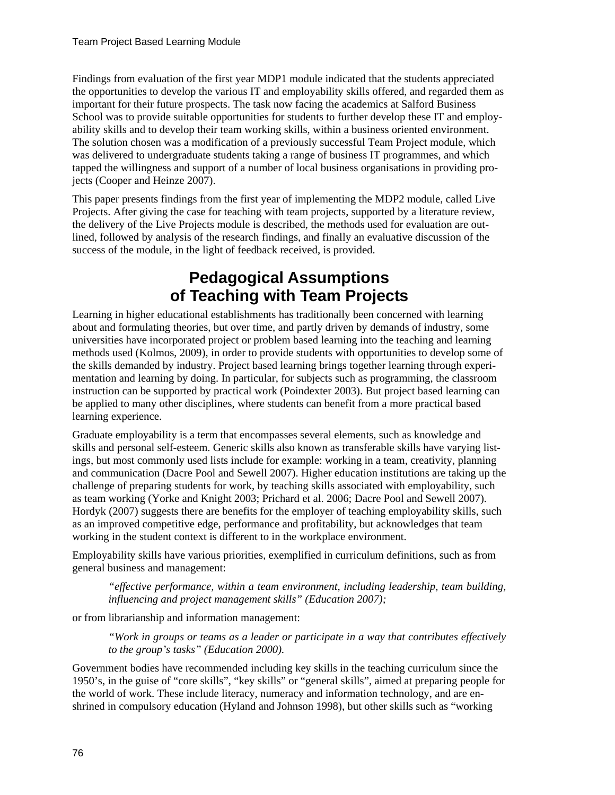Findings from evaluation of the first year MDP1 module indicated that the students appreciated the opportunities to develop the various IT and employability skills offered, and regarded them as important for their future prospects. The task now facing the academics at Salford Business School was to provide suitable opportunities for students to further develop these IT and employability skills and to develop their team working skills, within a business oriented environment. The solution chosen was a modification of a previously successful Team Project module, which was delivered to undergraduate students taking a range of business IT programmes, and which tapped the willingness and support of a number of local business organisations in providing projects (Cooper and Heinze 2007).

This paper presents findings from the first year of implementing the MDP2 module, called Live Projects. After giving the case for teaching with team projects, supported by a literature review, the delivery of the Live Projects module is described, the methods used for evaluation are outlined, followed by analysis of the research findings, and finally an evaluative discussion of the success of the module, in the light of feedback received, is provided.

# **Pedagogical Assumptions of Teaching with Team Projects**

Learning in higher educational establishments has traditionally been concerned with learning about and formulating theories, but over time, and partly driven by demands of industry, some universities have incorporated project or problem based learning into the teaching and learning methods used (Kolmos, 2009), in order to provide students with opportunities to develop some of the skills demanded by industry. Project based learning brings together learning through experimentation and learning by doing. In particular, for subjects such as programming, the classroom instruction can be supported by practical work (Poindexter 2003). But project based learning can be applied to many other disciplines, where students can benefit from a more practical based learning experience.

Graduate employability is a term that encompasses several elements, such as knowledge and skills and personal self-esteem. Generic skills also known as transferable skills have varying listings, but most commonly used lists include for example: working in a team, creativity, planning and communication (Dacre Pool and Sewell 2007). Higher education institutions are taking up the challenge of preparing students for work, by teaching skills associated with employability, such as team working (Yorke and Knight 2003; Prichard et al. 2006; Dacre Pool and Sewell 2007). Hordyk (2007) suggests there are benefits for the employer of teaching employability skills, such as an improved competitive edge, performance and profitability, but acknowledges that team working in the student context is different to in the workplace environment.

Employability skills have various priorities, exemplified in curriculum definitions, such as from general business and management:

*"effective performance, within a team environment, including leadership, team building, influencing and project management skills" (Education 2007);* 

or from librarianship and information management:

*"Work in groups or teams as a leader or participate in a way that contributes effectively to the group's tasks" (Education 2000).* 

Government bodies have recommended including key skills in the teaching curriculum since the 1950's, in the guise of "core skills", "key skills" or "general skills", aimed at preparing people for the world of work. These include literacy, numeracy and information technology, and are enshrined in compulsory education (Hyland and Johnson 1998), but other skills such as "working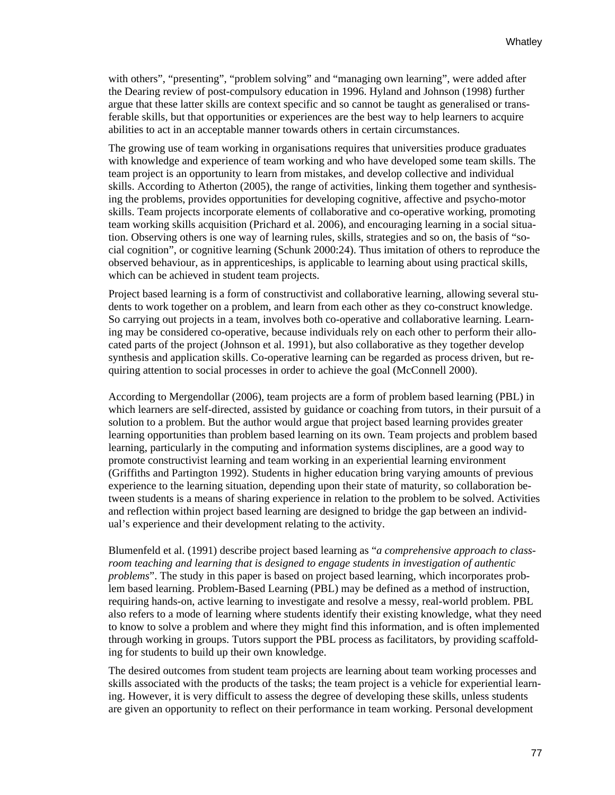with others", "presenting", "problem solving" and "managing own learning", were added after the Dearing review of post-compulsory education in 1996. Hyland and Johnson (1998) further argue that these latter skills are context specific and so cannot be taught as generalised or transferable skills, but that opportunities or experiences are the best way to help learners to acquire abilities to act in an acceptable manner towards others in certain circumstances.

The growing use of team working in organisations requires that universities produce graduates with knowledge and experience of team working and who have developed some team skills. The team project is an opportunity to learn from mistakes, and develop collective and individual skills. According to Atherton (2005), the range of activities, linking them together and synthesising the problems, provides opportunities for developing cognitive, affective and psycho-motor skills. Team projects incorporate elements of collaborative and co-operative working, promoting team working skills acquisition (Prichard et al. 2006), and encouraging learning in a social situation. Observing others is one way of learning rules, skills, strategies and so on, the basis of "social cognition", or cognitive learning (Schunk 2000:24). Thus imitation of others to reproduce the observed behaviour, as in apprenticeships, is applicable to learning about using practical skills, which can be achieved in student team projects.

Project based learning is a form of constructivist and collaborative learning, allowing several students to work together on a problem, and learn from each other as they co-construct knowledge. So carrying out projects in a team, involves both co-operative and collaborative learning. Learning may be considered co-operative, because individuals rely on each other to perform their allocated parts of the project (Johnson et al. 1991), but also collaborative as they together develop synthesis and application skills. Co-operative learning can be regarded as process driven, but requiring attention to social processes in order to achieve the goal (McConnell 2000).

According to Mergendollar (2006), team projects are a form of problem based learning (PBL) in which learners are self-directed, assisted by guidance or coaching from tutors, in their pursuit of a solution to a problem. But the author would argue that project based learning provides greater learning opportunities than problem based learning on its own. Team projects and problem based learning, particularly in the computing and information systems disciplines, are a good way to promote constructivist learning and team working in an experiential learning environment (Griffiths and Partington 1992). Students in higher education bring varying amounts of previous experience to the learning situation, depending upon their state of maturity, so collaboration between students is a means of sharing experience in relation to the problem to be solved. Activities and reflection within project based learning are designed to bridge the gap between an individual's experience and their development relating to the activity.

Blumenfeld et al. (1991) describe project based learning as "*a comprehensive approach to classroom teaching and learning that is designed to engage students in investigation of authentic problems*". The study in this paper is based on project based learning, which incorporates problem based learning. Problem-Based Learning (PBL) may be defined as a method of instruction, requiring hands-on, active learning to investigate and resolve a messy, real-world problem. PBL also refers to a mode of learning where students identify their existing knowledge, what they need to know to solve a problem and where they might find this information, and is often implemented through working in groups. Tutors support the PBL process as facilitators, by providing scaffolding for students to build up their own knowledge.

The desired outcomes from student team projects are learning about team working processes and skills associated with the products of the tasks; the team project is a vehicle for experiential learning. However, it is very difficult to assess the degree of developing these skills, unless students are given an opportunity to reflect on their performance in team working. Personal development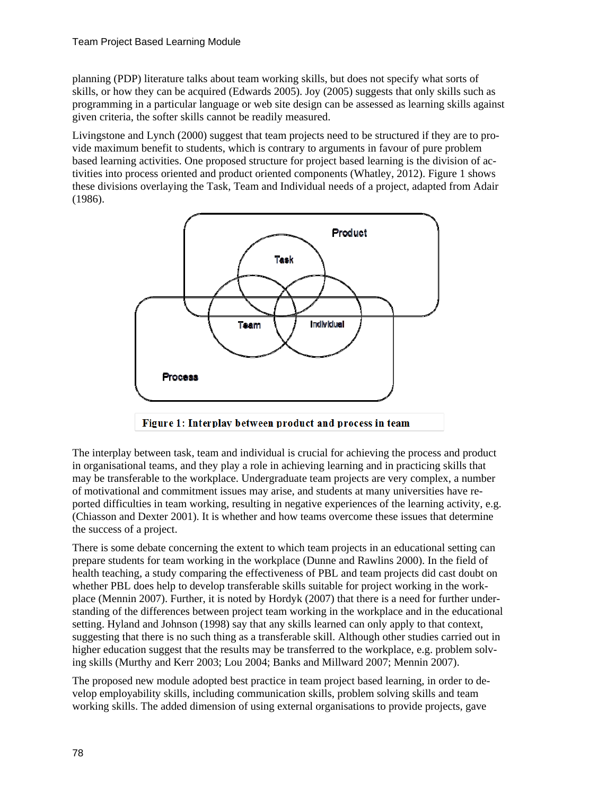planning (PDP) literature talks about team working skills, but does not specify what sorts of skills, or how they can be acquired (Edwards 2005). Joy (2005) suggests that only skills such as programming in a particular language or web site design can be assessed as learning skills against given criteria, the softer skills cannot be readily measured.

Livingstone and Lynch (2000) suggest that team projects need to be structured if they are to provide maximum benefit to students, which is contrary to arguments in favour of pure problem based learning activities. One proposed structure for project based learning is the division of activities into process oriented and product oriented components (Whatley, 2012). Figure 1 shows these divisions overlaying the Task, Team and Individual needs of a project, adapted from Adair (1986).



The interplay between task, team and individual is crucial for achieving the process and product

in organisational teams, and they play a role in achieving learning and in practicing skills that may be transferable to the workplace. Undergraduate team projects are very complex, a number of motivational and commitment issues may arise, and students at many universities have reported difficulties in team working, resulting in negative experiences of the learning activity, e.g. (Chiasson and Dexter 2001). It is whether and how teams overcome these issues that determine the success of a project.

There is some debate concerning the extent to which team projects in an educational setting can prepare students for team working in the workplace (Dunne and Rawlins 2000). In the field of health teaching, a study comparing the effectiveness of PBL and team projects did cast doubt on whether PBL does help to develop transferable skills suitable for project working in the workplace (Mennin 2007). Further, it is noted by Hordyk (2007) that there is a need for further understanding of the differences between project team working in the workplace and in the educational setting. Hyland and Johnson (1998) say that any skills learned can only apply to that context, suggesting that there is no such thing as a transferable skill. Although other studies carried out in higher education suggest that the results may be transferred to the workplace, e.g. problem solving skills (Murthy and Kerr 2003; Lou 2004; Banks and Millward 2007; Mennin 2007).

The proposed new module adopted best practice in team project based learning, in order to develop employability skills, including communication skills, problem solving skills and team working skills. The added dimension of using external organisations to provide projects, gave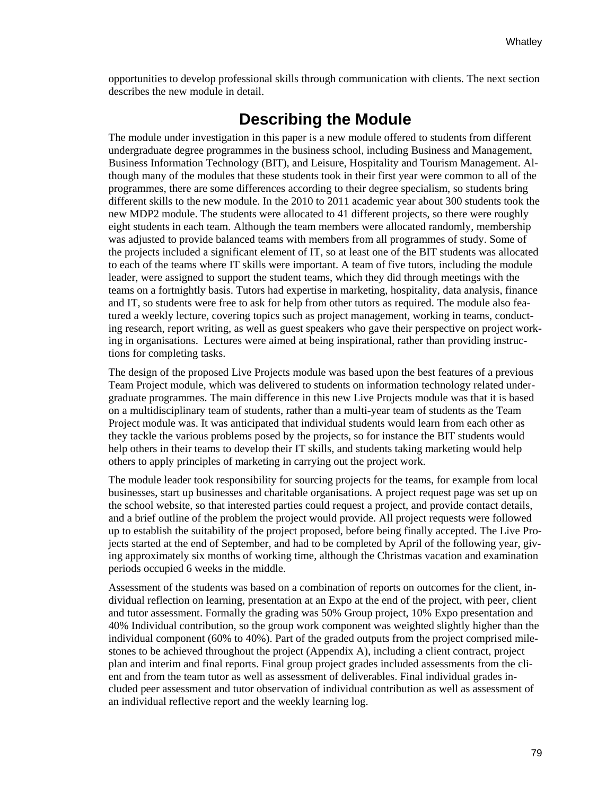opportunities to develop professional skills through communication with clients. The next section describes the new module in detail.

### **Describing the Module**

The module under investigation in this paper is a new module offered to students from different undergraduate degree programmes in the business school, including Business and Management, Business Information Technology (BIT), and Leisure, Hospitality and Tourism Management. Although many of the modules that these students took in their first year were common to all of the programmes, there are some differences according to their degree specialism, so students bring different skills to the new module. In the 2010 to 2011 academic year about 300 students took the new MDP2 module. The students were allocated to 41 different projects, so there were roughly eight students in each team. Although the team members were allocated randomly, membership was adjusted to provide balanced teams with members from all programmes of study. Some of the projects included a significant element of IT, so at least one of the BIT students was allocated to each of the teams where IT skills were important. A team of five tutors, including the module leader, were assigned to support the student teams, which they did through meetings with the teams on a fortnightly basis. Tutors had expertise in marketing, hospitality, data analysis, finance and IT, so students were free to ask for help from other tutors as required. The module also featured a weekly lecture, covering topics such as project management, working in teams, conducting research, report writing, as well as guest speakers who gave their perspective on project working in organisations. Lectures were aimed at being inspirational, rather than providing instructions for completing tasks.

The design of the proposed Live Projects module was based upon the best features of a previous Team Project module, which was delivered to students on information technology related undergraduate programmes. The main difference in this new Live Projects module was that it is based on a multidisciplinary team of students, rather than a multi-year team of students as the Team Project module was. It was anticipated that individual students would learn from each other as they tackle the various problems posed by the projects, so for instance the BIT students would help others in their teams to develop their IT skills, and students taking marketing would help others to apply principles of marketing in carrying out the project work.

The module leader took responsibility for sourcing projects for the teams, for example from local businesses, start up businesses and charitable organisations. A project request page was set up on the school website, so that interested parties could request a project, and provide contact details, and a brief outline of the problem the project would provide. All project requests were followed up to establish the suitability of the project proposed, before being finally accepted. The Live Projects started at the end of September, and had to be completed by April of the following year, giving approximately six months of working time, although the Christmas vacation and examination periods occupied 6 weeks in the middle.

Assessment of the students was based on a combination of reports on outcomes for the client, individual reflection on learning, presentation at an Expo at the end of the project, with peer, client and tutor assessment. Formally the grading was 50% Group project, 10% Expo presentation and 40% Individual contribution, so the group work component was weighted slightly higher than the individual component (60% to 40%). Part of the graded outputs from the project comprised milestones to be achieved throughout the project (Appendix A), including a client contract, project plan and interim and final reports. Final group project grades included assessments from the client and from the team tutor as well as assessment of deliverables. Final individual grades included peer assessment and tutor observation of individual contribution as well as assessment of an individual reflective report and the weekly learning log.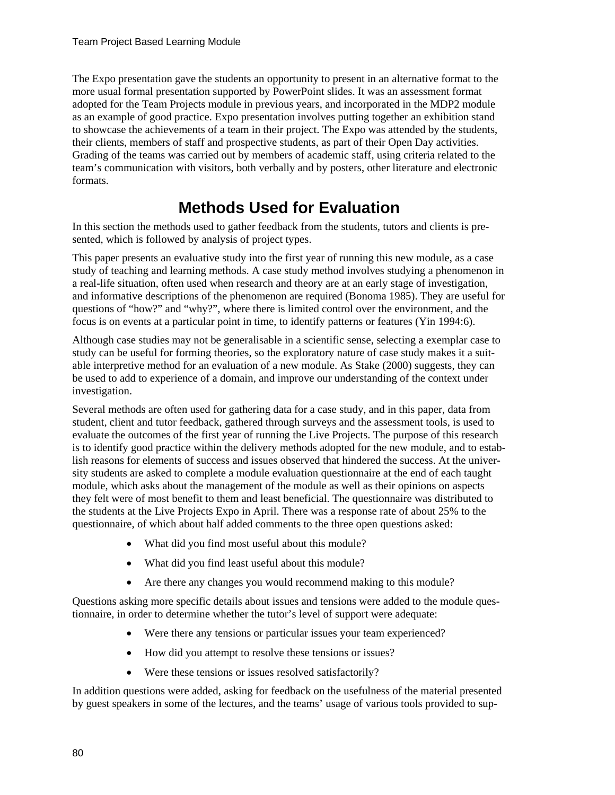The Expo presentation gave the students an opportunity to present in an alternative format to the more usual formal presentation supported by PowerPoint slides. It was an assessment format adopted for the Team Projects module in previous years, and incorporated in the MDP2 module as an example of good practice. Expo presentation involves putting together an exhibition stand to showcase the achievements of a team in their project. The Expo was attended by the students, their clients, members of staff and prospective students, as part of their Open Day activities. Grading of the teams was carried out by members of academic staff, using criteria related to the team's communication with visitors, both verbally and by posters, other literature and electronic formats.

# **Methods Used for Evaluation**

In this section the methods used to gather feedback from the students, tutors and clients is presented, which is followed by analysis of project types.

This paper presents an evaluative study into the first year of running this new module, as a case study of teaching and learning methods. A case study method involves studying a phenomenon in a real-life situation, often used when research and theory are at an early stage of investigation, and informative descriptions of the phenomenon are required (Bonoma 1985). They are useful for questions of "how?" and "why?", where there is limited control over the environment, and the focus is on events at a particular point in time, to identify patterns or features (Yin 1994:6).

Although case studies may not be generalisable in a scientific sense, selecting a exemplar case to study can be useful for forming theories, so the exploratory nature of case study makes it a suitable interpretive method for an evaluation of a new module. As Stake (2000) suggests, they can be used to add to experience of a domain, and improve our understanding of the context under investigation.

Several methods are often used for gathering data for a case study, and in this paper, data from student, client and tutor feedback, gathered through surveys and the assessment tools, is used to evaluate the outcomes of the first year of running the Live Projects. The purpose of this research is to identify good practice within the delivery methods adopted for the new module, and to establish reasons for elements of success and issues observed that hindered the success. At the university students are asked to complete a module evaluation questionnaire at the end of each taught module, which asks about the management of the module as well as their opinions on aspects they felt were of most benefit to them and least beneficial. The questionnaire was distributed to the students at the Live Projects Expo in April. There was a response rate of about 25% to the questionnaire, of which about half added comments to the three open questions asked:

- What did you find most useful about this module?
- What did you find least useful about this module?
- Are there any changes you would recommend making to this module?

Questions asking more specific details about issues and tensions were added to the module questionnaire, in order to determine whether the tutor's level of support were adequate:

- Were there any tensions or particular issues your team experienced?
- How did you attempt to resolve these tensions or issues?
- Were these tensions or issues resolved satisfactorily?

In addition questions were added, asking for feedback on the usefulness of the material presented by guest speakers in some of the lectures, and the teams' usage of various tools provided to sup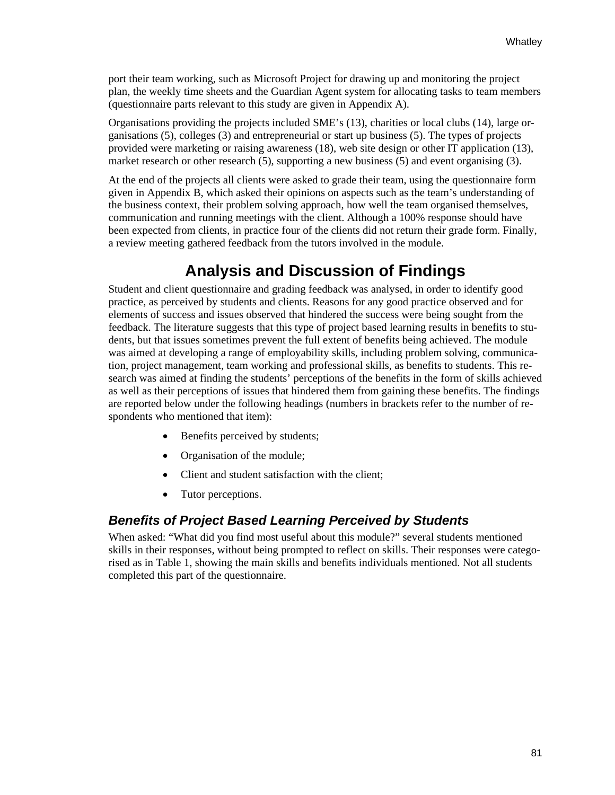port their team working, such as Microsoft Project for drawing up and monitoring the project plan, the weekly time sheets and the Guardian Agent system for allocating tasks to team members (questionnaire parts relevant to this study are given in Appendix A).

Organisations providing the projects included SME's (13), charities or local clubs (14), large organisations (5), colleges (3) and entrepreneurial or start up business (5). The types of projects provided were marketing or raising awareness (18), web site design or other IT application (13), market research or other research (5), supporting a new business (5) and event organising (3).

At the end of the projects all clients were asked to grade their team, using the questionnaire form given in Appendix B, which asked their opinions on aspects such as the team's understanding of the business context, their problem solving approach, how well the team organised themselves, communication and running meetings with the client. Although a 100% response should have been expected from clients, in practice four of the clients did not return their grade form. Finally, a review meeting gathered feedback from the tutors involved in the module.

# **Analysis and Discussion of Findings**

Student and client questionnaire and grading feedback was analysed, in order to identify good practice, as perceived by students and clients. Reasons for any good practice observed and for elements of success and issues observed that hindered the success were being sought from the feedback. The literature suggests that this type of project based learning results in benefits to students, but that issues sometimes prevent the full extent of benefits being achieved. The module was aimed at developing a range of employability skills, including problem solving, communication, project management, team working and professional skills, as benefits to students. This research was aimed at finding the students' perceptions of the benefits in the form of skills achieved as well as their perceptions of issues that hindered them from gaining these benefits. The findings are reported below under the following headings (numbers in brackets refer to the number of respondents who mentioned that item):

- Benefits perceived by students;
- Organisation of the module;
- Client and student satisfaction with the client;
- Tutor perceptions.

#### *Benefits of Project Based Learning Perceived by Students*

When asked: "What did you find most useful about this module?" several students mentioned skills in their responses, without being prompted to reflect on skills. Their responses were categorised as in Table 1, showing the main skills and benefits individuals mentioned. Not all students completed this part of the questionnaire.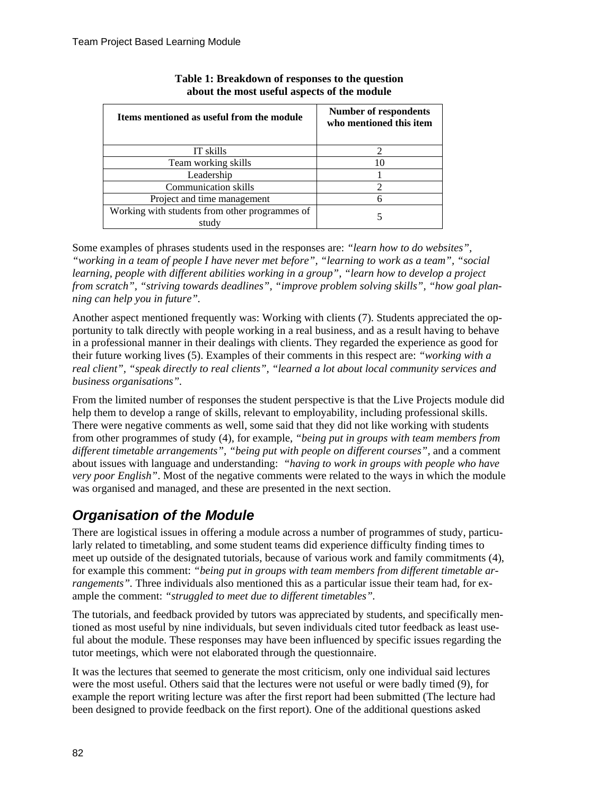| Items mentioned as useful from the module               | Number of respondents<br>who mentioned this item |
|---------------------------------------------------------|--------------------------------------------------|
| IT skills                                               |                                                  |
| Team working skills                                     |                                                  |
| Leadership                                              |                                                  |
| <b>Communication skills</b>                             |                                                  |
| Project and time management                             | 6                                                |
| Working with students from other programmes of<br>study |                                                  |

#### **Table 1: Breakdown of responses to the question about the most useful aspects of the module**

Some examples of phrases students used in the responses are: *"learn how to do websites", "working in a team of people I have never met before", "learning to work as a team", "social learning, people with different abilities working in a group", "learn how to develop a project from scratch", "striving towards deadlines", "improve problem solving skills", "how goal planning can help you in future".*

Another aspect mentioned frequently was: Working with clients (7). Students appreciated the opportunity to talk directly with people working in a real business, and as a result having to behave in a professional manner in their dealings with clients. They regarded the experience as good for their future working lives (5). Examples of their comments in this respect are: *"working with a real client", "speak directly to real clients", "learned a lot about local community services and business organisations".* 

From the limited number of responses the student perspective is that the Live Projects module did help them to develop a range of skills, relevant to employability, including professional skills. There were negative comments as well, some said that they did not like working with students from other programmes of study (4), for example, *"being put in groups with team members from different timetable arrangements", "being put with people on different courses",* and a comment about issues with language and understanding: *"having to work in groups with people who have very poor English"*. Most of the negative comments were related to the ways in which the module was organised and managed, and these are presented in the next section.

### *Organisation of the Module*

There are logistical issues in offering a module across a number of programmes of study, particularly related to timetabling, and some student teams did experience difficulty finding times to meet up outside of the designated tutorials, because of various work and family commitments (4), for example this comment: *"being put in groups with team members from different timetable arrangements"*. Three individuals also mentioned this as a particular issue their team had, for example the comment: *"struggled to meet due to different timetables".*

The tutorials, and feedback provided by tutors was appreciated by students, and specifically mentioned as most useful by nine individuals, but seven individuals cited tutor feedback as least useful about the module. These responses may have been influenced by specific issues regarding the tutor meetings, which were not elaborated through the questionnaire.

It was the lectures that seemed to generate the most criticism, only one individual said lectures were the most useful. Others said that the lectures were not useful or were badly timed (9), for example the report writing lecture was after the first report had been submitted (The lecture had been designed to provide feedback on the first report). One of the additional questions asked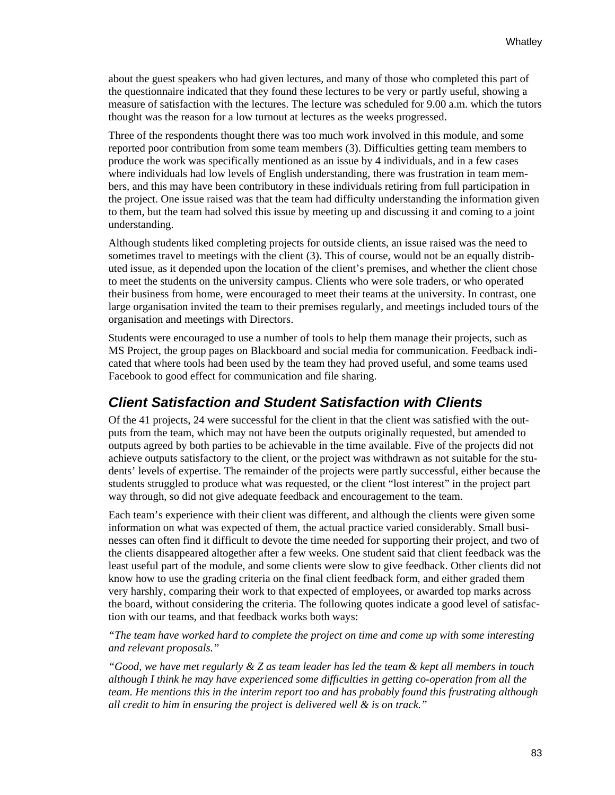about the guest speakers who had given lectures, and many of those who completed this part of the questionnaire indicated that they found these lectures to be very or partly useful, showing a measure of satisfaction with the lectures. The lecture was scheduled for 9.00 a.m. which the tutors thought was the reason for a low turnout at lectures as the weeks progressed.

Three of the respondents thought there was too much work involved in this module, and some reported poor contribution from some team members (3). Difficulties getting team members to produce the work was specifically mentioned as an issue by 4 individuals, and in a few cases where individuals had low levels of English understanding, there was frustration in team members, and this may have been contributory in these individuals retiring from full participation in the project. One issue raised was that the team had difficulty understanding the information given to them, but the team had solved this issue by meeting up and discussing it and coming to a joint understanding.

Although students liked completing projects for outside clients, an issue raised was the need to sometimes travel to meetings with the client (3). This of course, would not be an equally distributed issue, as it depended upon the location of the client's premises, and whether the client chose to meet the students on the university campus. Clients who were sole traders, or who operated their business from home, were encouraged to meet their teams at the university. In contrast, one large organisation invited the team to their premises regularly, and meetings included tours of the organisation and meetings with Directors.

Students were encouraged to use a number of tools to help them manage their projects, such as MS Project, the group pages on Blackboard and social media for communication. Feedback indicated that where tools had been used by the team they had proved useful, and some teams used Facebook to good effect for communication and file sharing.

#### *Client Satisfaction and Student Satisfaction with Clients*

Of the 41 projects, 24 were successful for the client in that the client was satisfied with the outputs from the team, which may not have been the outputs originally requested, but amended to outputs agreed by both parties to be achievable in the time available. Five of the projects did not achieve outputs satisfactory to the client, or the project was withdrawn as not suitable for the students' levels of expertise. The remainder of the projects were partly successful, either because the students struggled to produce what was requested, or the client "lost interest" in the project part way through, so did not give adequate feedback and encouragement to the team.

Each team's experience with their client was different, and although the clients were given some information on what was expected of them, the actual practice varied considerably. Small businesses can often find it difficult to devote the time needed for supporting their project, and two of the clients disappeared altogether after a few weeks. One student said that client feedback was the least useful part of the module, and some clients were slow to give feedback. Other clients did not know how to use the grading criteria on the final client feedback form, and either graded them very harshly, comparing their work to that expected of employees, or awarded top marks across the board, without considering the criteria. The following quotes indicate a good level of satisfaction with our teams, and that feedback works both ways:

*"The team have worked hard to complete the project on time and come up with some interesting and relevant proposals."* 

*"Good, we have met regularly & Z as team leader has led the team & kept all members in touch although I think he may have experienced some difficulties in getting co-operation from all the team. He mentions this in the interim report too and has probably found this frustrating although all credit to him in ensuring the project is delivered well & is on track."*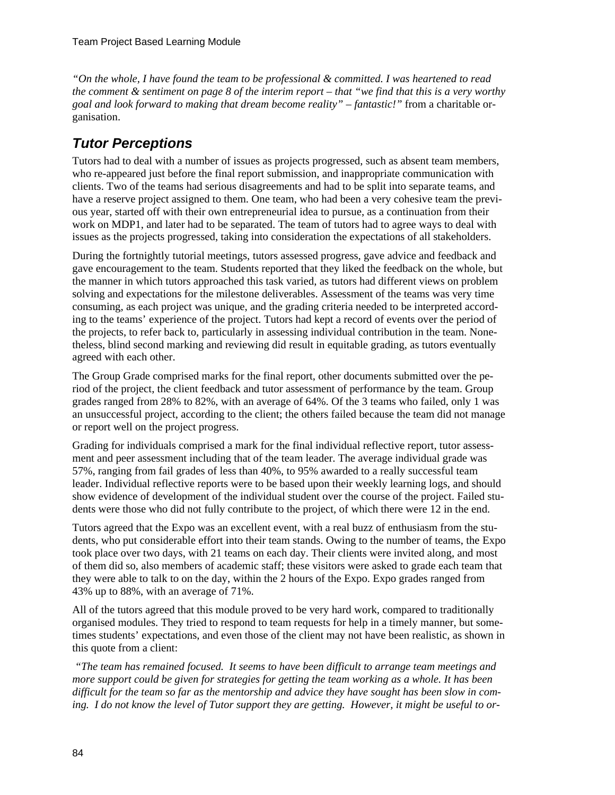*"On the whole, I have found the team to be professional & committed. I was heartened to read the comment & sentiment on page 8 of the interim report – that "we find that this is a very worthy goal and look forward to making that dream become reality" – fantastic!"* from a charitable organisation.

### *Tutor Perceptions*

Tutors had to deal with a number of issues as projects progressed, such as absent team members, who re-appeared just before the final report submission, and inappropriate communication with clients. Two of the teams had serious disagreements and had to be split into separate teams, and have a reserve project assigned to them. One team, who had been a very cohesive team the previous year, started off with their own entrepreneurial idea to pursue, as a continuation from their work on MDP1, and later had to be separated. The team of tutors had to agree ways to deal with issues as the projects progressed, taking into consideration the expectations of all stakeholders.

During the fortnightly tutorial meetings, tutors assessed progress, gave advice and feedback and gave encouragement to the team. Students reported that they liked the feedback on the whole, but the manner in which tutors approached this task varied, as tutors had different views on problem solving and expectations for the milestone deliverables. Assessment of the teams was very time consuming, as each project was unique, and the grading criteria needed to be interpreted according to the teams' experience of the project. Tutors had kept a record of events over the period of the projects, to refer back to, particularly in assessing individual contribution in the team. Nonetheless, blind second marking and reviewing did result in equitable grading, as tutors eventually agreed with each other.

The Group Grade comprised marks for the final report, other documents submitted over the period of the project, the client feedback and tutor assessment of performance by the team. Group grades ranged from 28% to 82%, with an average of 64%. Of the 3 teams who failed, only 1 was an unsuccessful project, according to the client; the others failed because the team did not manage or report well on the project progress.

Grading for individuals comprised a mark for the final individual reflective report, tutor assessment and peer assessment including that of the team leader. The average individual grade was 57%, ranging from fail grades of less than 40%, to 95% awarded to a really successful team leader. Individual reflective reports were to be based upon their weekly learning logs, and should show evidence of development of the individual student over the course of the project. Failed students were those who did not fully contribute to the project, of which there were 12 in the end.

Tutors agreed that the Expo was an excellent event, with a real buzz of enthusiasm from the students, who put considerable effort into their team stands. Owing to the number of teams, the Expo took place over two days, with 21 teams on each day. Their clients were invited along, and most of them did so, also members of academic staff; these visitors were asked to grade each team that they were able to talk to on the day, within the 2 hours of the Expo. Expo grades ranged from 43% up to 88%, with an average of 71%.

All of the tutors agreed that this module proved to be very hard work, compared to traditionally organised modules. They tried to respond to team requests for help in a timely manner, but sometimes students' expectations, and even those of the client may not have been realistic, as shown in this quote from a client:

 *"The team has remained focused. It seems to have been difficult to arrange team meetings and more support could be given for strategies for getting the team working as a whole. It has been difficult for the team so far as the mentorship and advice they have sought has been slow in coming. I do not know the level of Tutor support they are getting. However, it might be useful to or-*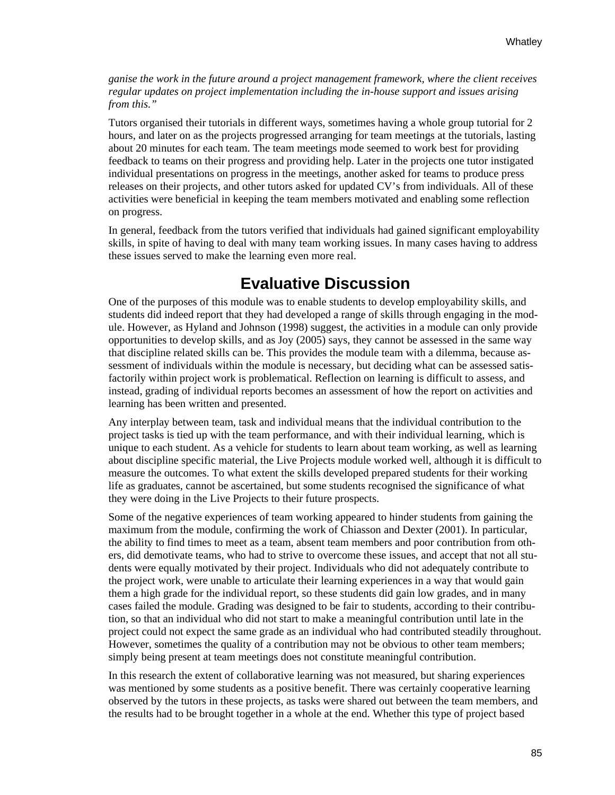*ganise the work in the future around a project management framework, where the client receives regular updates on project implementation including the in-house support and issues arising from this."* 

Tutors organised their tutorials in different ways, sometimes having a whole group tutorial for 2 hours, and later on as the projects progressed arranging for team meetings at the tutorials, lasting about 20 minutes for each team. The team meetings mode seemed to work best for providing feedback to teams on their progress and providing help. Later in the projects one tutor instigated individual presentations on progress in the meetings, another asked for teams to produce press releases on their projects, and other tutors asked for updated CV's from individuals. All of these activities were beneficial in keeping the team members motivated and enabling some reflection on progress.

In general, feedback from the tutors verified that individuals had gained significant employability skills, in spite of having to deal with many team working issues. In many cases having to address these issues served to make the learning even more real.

### **Evaluative Discussion**

One of the purposes of this module was to enable students to develop employability skills, and students did indeed report that they had developed a range of skills through engaging in the module. However, as Hyland and Johnson (1998) suggest, the activities in a module can only provide opportunities to develop skills, and as Joy (2005) says, they cannot be assessed in the same way that discipline related skills can be. This provides the module team with a dilemma, because assessment of individuals within the module is necessary, but deciding what can be assessed satisfactorily within project work is problematical. Reflection on learning is difficult to assess, and instead, grading of individual reports becomes an assessment of how the report on activities and learning has been written and presented.

Any interplay between team, task and individual means that the individual contribution to the project tasks is tied up with the team performance, and with their individual learning, which is unique to each student. As a vehicle for students to learn about team working, as well as learning about discipline specific material, the Live Projects module worked well, although it is difficult to measure the outcomes. To what extent the skills developed prepared students for their working life as graduates, cannot be ascertained, but some students recognised the significance of what they were doing in the Live Projects to their future prospects.

Some of the negative experiences of team working appeared to hinder students from gaining the maximum from the module, confirming the work of Chiasson and Dexter (2001). In particular, the ability to find times to meet as a team, absent team members and poor contribution from others, did demotivate teams, who had to strive to overcome these issues, and accept that not all students were equally motivated by their project. Individuals who did not adequately contribute to the project work, were unable to articulate their learning experiences in a way that would gain them a high grade for the individual report, so these students did gain low grades, and in many cases failed the module. Grading was designed to be fair to students, according to their contribution, so that an individual who did not start to make a meaningful contribution until late in the project could not expect the same grade as an individual who had contributed steadily throughout. However, sometimes the quality of a contribution may not be obvious to other team members; simply being present at team meetings does not constitute meaningful contribution.

In this research the extent of collaborative learning was not measured, but sharing experiences was mentioned by some students as a positive benefit. There was certainly cooperative learning observed by the tutors in these projects, as tasks were shared out between the team members, and the results had to be brought together in a whole at the end. Whether this type of project based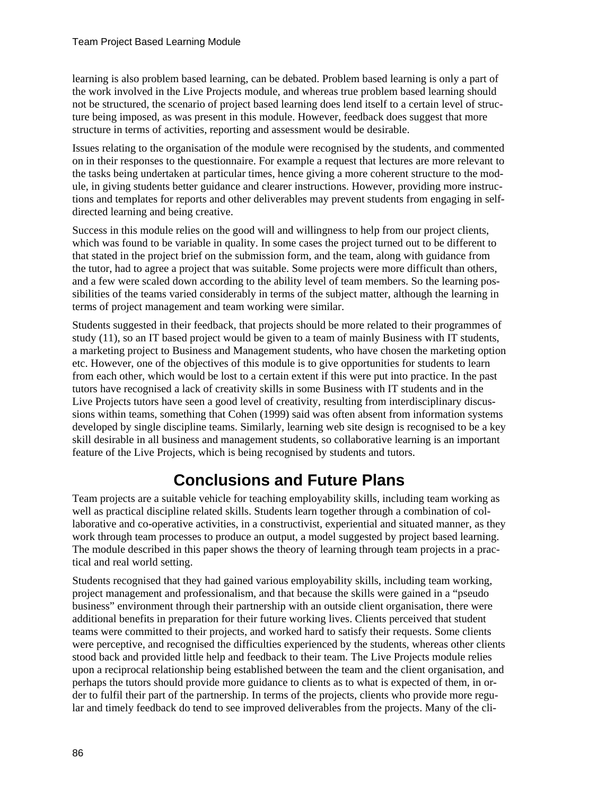learning is also problem based learning, can be debated. Problem based learning is only a part of the work involved in the Live Projects module, and whereas true problem based learning should not be structured, the scenario of project based learning does lend itself to a certain level of structure being imposed, as was present in this module. However, feedback does suggest that more structure in terms of activities, reporting and assessment would be desirable.

Issues relating to the organisation of the module were recognised by the students, and commented on in their responses to the questionnaire. For example a request that lectures are more relevant to the tasks being undertaken at particular times, hence giving a more coherent structure to the module, in giving students better guidance and clearer instructions. However, providing more instructions and templates for reports and other deliverables may prevent students from engaging in selfdirected learning and being creative.

Success in this module relies on the good will and willingness to help from our project clients, which was found to be variable in quality. In some cases the project turned out to be different to that stated in the project brief on the submission form, and the team, along with guidance from the tutor, had to agree a project that was suitable. Some projects were more difficult than others, and a few were scaled down according to the ability level of team members. So the learning possibilities of the teams varied considerably in terms of the subject matter, although the learning in terms of project management and team working were similar.

Students suggested in their feedback, that projects should be more related to their programmes of study (11), so an IT based project would be given to a team of mainly Business with IT students, a marketing project to Business and Management students, who have chosen the marketing option etc. However, one of the objectives of this module is to give opportunities for students to learn from each other, which would be lost to a certain extent if this were put into practice. In the past tutors have recognised a lack of creativity skills in some Business with IT students and in the Live Projects tutors have seen a good level of creativity, resulting from interdisciplinary discussions within teams, something that Cohen (1999) said was often absent from information systems developed by single discipline teams. Similarly, learning web site design is recognised to be a key skill desirable in all business and management students, so collaborative learning is an important feature of the Live Projects, which is being recognised by students and tutors.

# **Conclusions and Future Plans**

Team projects are a suitable vehicle for teaching employability skills, including team working as well as practical discipline related skills. Students learn together through a combination of collaborative and co-operative activities, in a constructivist, experiential and situated manner, as they work through team processes to produce an output, a model suggested by project based learning. The module described in this paper shows the theory of learning through team projects in a practical and real world setting.

Students recognised that they had gained various employability skills, including team working, project management and professionalism, and that because the skills were gained in a "pseudo business" environment through their partnership with an outside client organisation, there were additional benefits in preparation for their future working lives. Clients perceived that student teams were committed to their projects, and worked hard to satisfy their requests. Some clients were perceptive, and recognised the difficulties experienced by the students, whereas other clients stood back and provided little help and feedback to their team. The Live Projects module relies upon a reciprocal relationship being established between the team and the client organisation, and perhaps the tutors should provide more guidance to clients as to what is expected of them, in order to fulfil their part of the partnership. In terms of the projects, clients who provide more regular and timely feedback do tend to see improved deliverables from the projects. Many of the cli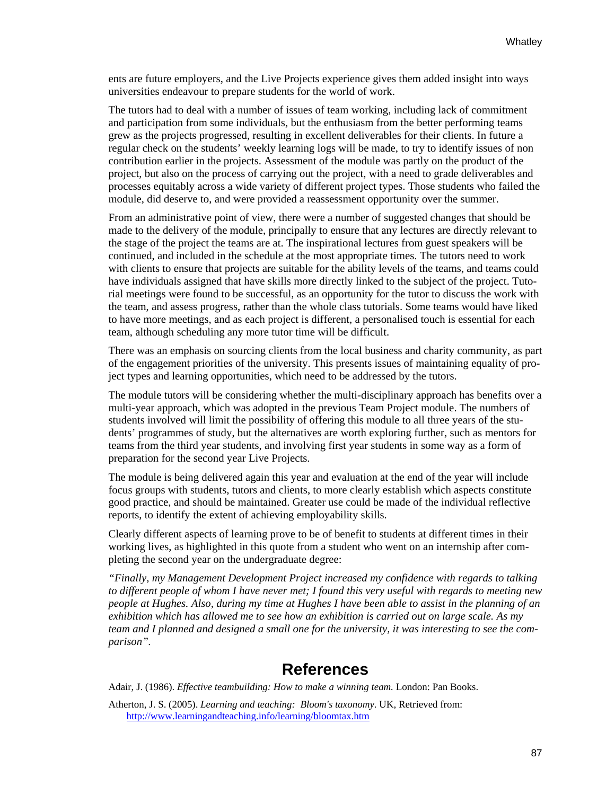ents are future employers, and the Live Projects experience gives them added insight into ways universities endeavour to prepare students for the world of work.

The tutors had to deal with a number of issues of team working, including lack of commitment and participation from some individuals, but the enthusiasm from the better performing teams grew as the projects progressed, resulting in excellent deliverables for their clients. In future a regular check on the students' weekly learning logs will be made, to try to identify issues of non contribution earlier in the projects. Assessment of the module was partly on the product of the project, but also on the process of carrying out the project, with a need to grade deliverables and processes equitably across a wide variety of different project types. Those students who failed the module, did deserve to, and were provided a reassessment opportunity over the summer.

From an administrative point of view, there were a number of suggested changes that should be made to the delivery of the module, principally to ensure that any lectures are directly relevant to the stage of the project the teams are at. The inspirational lectures from guest speakers will be continued, and included in the schedule at the most appropriate times. The tutors need to work with clients to ensure that projects are suitable for the ability levels of the teams, and teams could have individuals assigned that have skills more directly linked to the subject of the project. Tutorial meetings were found to be successful, as an opportunity for the tutor to discuss the work with the team, and assess progress, rather than the whole class tutorials. Some teams would have liked to have more meetings, and as each project is different, a personalised touch is essential for each team, although scheduling any more tutor time will be difficult.

There was an emphasis on sourcing clients from the local business and charity community, as part of the engagement priorities of the university. This presents issues of maintaining equality of project types and learning opportunities, which need to be addressed by the tutors.

The module tutors will be considering whether the multi-disciplinary approach has benefits over a multi-year approach, which was adopted in the previous Team Project module. The numbers of students involved will limit the possibility of offering this module to all three years of the students' programmes of study, but the alternatives are worth exploring further, such as mentors for teams from the third year students, and involving first year students in some way as a form of preparation for the second year Live Projects.

The module is being delivered again this year and evaluation at the end of the year will include focus groups with students, tutors and clients, to more clearly establish which aspects constitute good practice, and should be maintained. Greater use could be made of the individual reflective reports, to identify the extent of achieving employability skills.

Clearly different aspects of learning prove to be of benefit to students at different times in their working lives, as highlighted in this quote from a student who went on an internship after completing the second year on the undergraduate degree:

*"Finally, my Management Development Project increased my confidence with regards to talking to different people of whom I have never met; I found this very useful with regards to meeting new people at Hughes. Also, during my time at Hughes I have been able to assist in the planning of an exhibition which has allowed me to see how an exhibition is carried out on large scale. As my team and I planned and designed a small one for the university, it was interesting to see the comparison".* 

### **References**

Adair, J. (1986). *Effective teambuilding: How to make a winning team.* London: Pan Books.

Atherton, J. S. (2005). *Learning and teaching: Bloom's taxonomy*. UK, Retrieved from: <http://www.learningandteaching.info/learning/bloomtax.htm>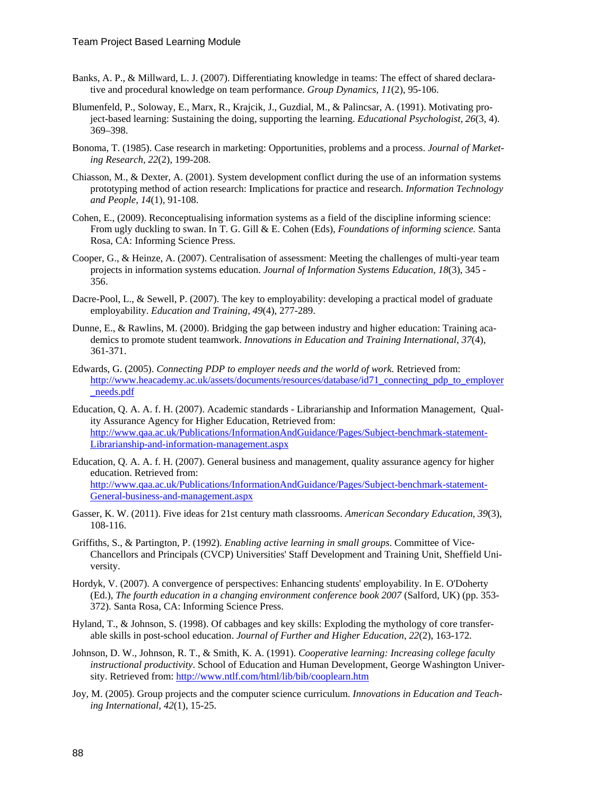- Banks, A. P., & Millward, L. J. (2007). Differentiating knowledge in teams: The effect of shared declarative and procedural knowledge on team performance. *Group Dynamics, 11*(2), 95-106.
- Blumenfeld, P., Soloway, E., Marx, R., Krajcik, J., Guzdial, M., & Palincsar, A. (1991). Motivating project-based learning: Sustaining the doing, supporting the learning. *Educational Psychologist, 26*(3, 4). 369–398.
- Bonoma, T. (1985). Case research in marketing: Opportunities, problems and a process. *Journal of Marketing Research, 22*(2), 199-208.
- Chiasson, M., & Dexter, A. (2001). System development conflict during the use of an information systems prototyping method of action research: Implications for practice and research. *Information Technology and People, 14*(1), 91-108.
- Cohen, E., (2009). Reconceptualising information systems as a field of the discipline informing science: From ugly duckling to swan. In T. G. Gill & E. Cohen (Eds), *Foundations of informing science.* Santa Rosa, CA: Informing Science Press.
- Cooper, G., & Heinze, A. (2007). Centralisation of assessment: Meeting the challenges of multi-year team projects in information systems education. *Journal of Information Systems Education, 18*(3), 345 - 356.
- Dacre-Pool, L., & Sewell, P. (2007). The key to employability: developing a practical model of graduate employability. *Education and Training, 49*(4), 277-289.
- Dunne, E., & Rawlins, M. (2000). Bridging the gap between industry and higher education: Training academics to promote student teamwork. *Innovations in Education and Training International, 37*(4), 361-371.
- Edwards, G. (2005). *Connecting PDP to employer needs and the world of work.* Retrieved from: [http://www.heacademy.ac.uk/assets/documents/resources/database/id71\\_connecting\\_pdp\\_to\\_employer](http://www.heacademy.ac.uk/assets/documents/resources/database/id71_connecting_pdp_to_employer_needs.pdf) [\\_needs.pdf](http://www.heacademy.ac.uk/assets/documents/resources/database/id71_connecting_pdp_to_employer_needs.pdf)
- Education, Q. A. A. f. H. (2007). Academic standards Librarianship and Information Management, Quality Assurance Agency for Higher Education, Retrieved from: [http://www.qaa.ac.uk/Publications/InformationAndGuidance/Pages/Subject-benchmark-statement-](http://www.qaa.ac.uk/Publications/InformationAndGuidance/Pages/Subject-benchmark-statement-Librarianship-and-information-management.aspx)[Librarianship-and-information-management.aspx](http://www.qaa.ac.uk/Publications/InformationAndGuidance/Pages/Subject-benchmark-statement-Librarianship-and-information-management.aspx)
- Education, Q. A. A. f. H. (2007). General business and management, quality assurance agency for higher education. Retrieved from: [http://www.qaa.ac.uk/Publications/InformationAndGuidance/Pages/Subject-benchmark-statement-](http://www.qaa.ac.uk/Publications/InformationAndGuidance/Pages/Subject-benchmark-statement-General-business-and-management.aspx)[General-business-and-management.aspx](http://www.qaa.ac.uk/Publications/InformationAndGuidance/Pages/Subject-benchmark-statement-General-business-and-management.aspx)
- Gasser, K. W. (2011). Five ideas for 21st century math classrooms. *American Secondary Education, 39*(3), 108-116.
- Griffiths, S., & Partington, P. (1992). *Enabling active learning in small groups*. Committee of Vice-Chancellors and Principals (CVCP) Universities' Staff Development and Training Unit, Sheffield University.
- Hordyk, V. (2007). A convergence of perspectives: Enhancing students' employability. In E. O'Doherty (Ed.), *The fourth education in a changing environment conference book 2007* (Salford, UK) (pp. 353- 372). Santa Rosa, CA: Informing Science Press.
- Hyland, T., & Johnson, S. (1998). Of cabbages and key skills: Exploding the mythology of core transferable skills in post-school education. *Journal of Further and Higher Education, 22*(2), 163-172.
- Johnson, D. W., Johnson, R. T., & Smith, K. A. (1991). *Cooperative learning: Increasing college faculty instructional productivity*. School of Education and Human Development, George Washington University. Retrieved from: <http://www.ntlf.com/html/lib/bib/cooplearn.htm>
- Joy, M. (2005). Group projects and the computer science curriculum. *Innovations in Education and Teaching International, 42*(1), 15-25.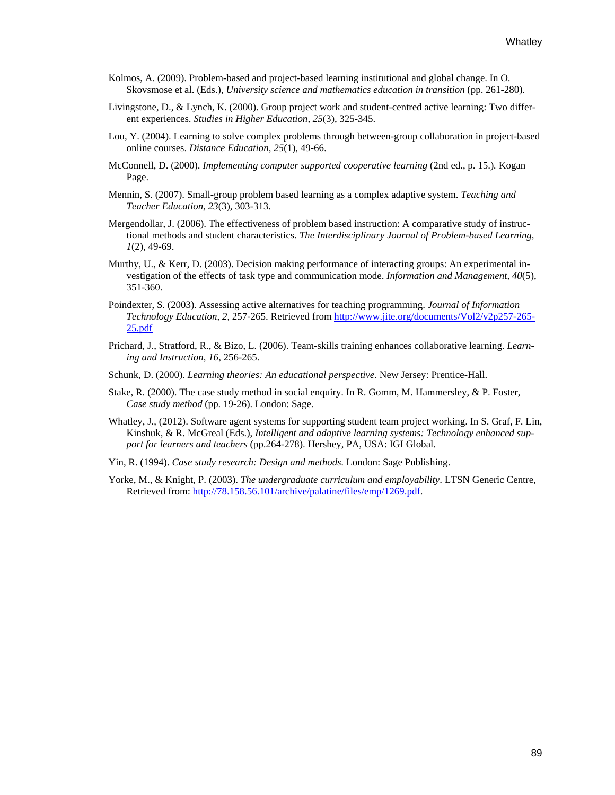- Kolmos, A. (2009). Problem-based and project-based learning institutional and global change. In O. Skovsmose et al. (Eds.), *University science and mathematics education in transition* (pp. 261-280).
- Livingstone, D., & Lynch, K. (2000). Group project work and student-centred active learning: Two different experiences. *Studies in Higher Education, 25*(3), 325-345.
- Lou, Y. (2004). Learning to solve complex problems through between-group collaboration in project-based online courses. *Distance Education, 25*(1), 49-66.
- McConnell, D. (2000). *Implementing computer supported cooperative learning* (2nd ed., p. 15.)*.* Kogan Page.
- Mennin, S. (2007). Small-group problem based learning as a complex adaptive system. *Teaching and Teacher Education, 23*(3), 303-313.
- Mergendollar, J. (2006). The effectiveness of problem based instruction: A comparative study of instructional methods and student characteristics. *The Interdisciplinary Journal of Problem-based Learning, 1*(2), 49-69.
- Murthy, U., & Kerr, D. (2003). Decision making performance of interacting groups: An experimental investigation of the effects of task type and communication mode. *Information and Management, 40*(5), 351-360.
- Poindexter, S. (2003). Assessing active alternatives for teaching programming. *Journal of Information Technology Education, 2*, 257-265. Retrieved from [http://www.jite.org/documents/Vol2/v2p257-265-](http://www.jite.org/documents/Vol2/v2p257-265-25.pdf) [25.pdf](http://www.jite.org/documents/Vol2/v2p257-265-25.pdf)
- Prichard, J., Stratford, R., & Bizo, L. (2006). Team-skills training enhances collaborative learning. *Learning and Instruction, 16*, 256-265.
- Schunk, D. (2000). *Learning theories: An educational perspective.* New Jersey: Prentice-Hall.
- Stake, R. (2000). The case study method in social enquiry. In R. Gomm, M. Hammersley, & P. Foster, *Case study method* (pp. 19-26). London: Sage.
- Whatley, J., (2012). Software agent systems for supporting student team project working. In S. Graf, F. Lin, Kinshuk, & R. McGreal (Eds.), *Intelligent and adaptive learning systems: Technology enhanced support for learners and teachers* (pp.264-278). Hershey, PA, USA: IGI Global.
- Yin, R. (1994). *Case study research: Design and methods.* London: Sage Publishing.
- Yorke, M., & Knight, P. (2003). *The undergraduate curriculum and employability*. LTSN Generic Centre, Retrieved from: [http://78.158.56.101/archive/palatine/files/emp/1269.pdf.](http://78.158.56.101/archive/palatine/files/emp/1269.pdf)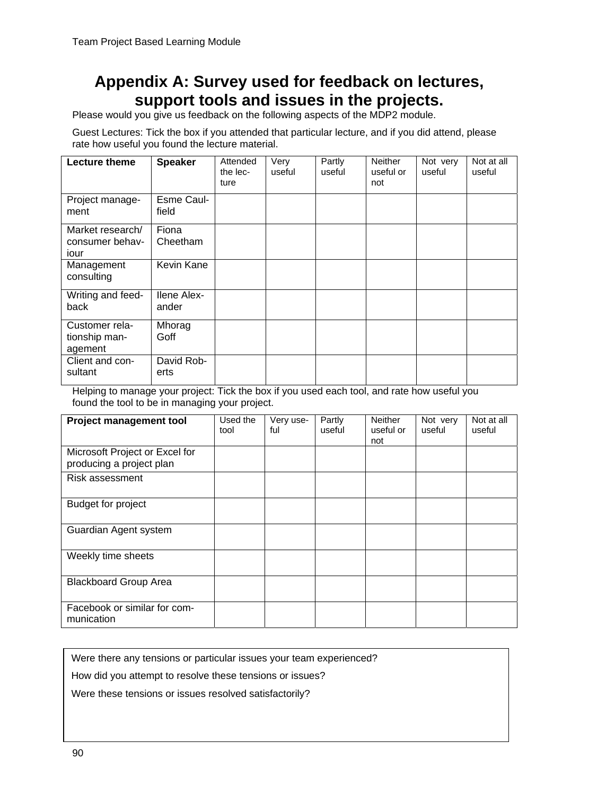# **Appendix A: Survey used for feedback on lectures, support tools and issues in the projects.**

Please would you give us feedback on the following aspects of the MDP2 module.

Guest Lectures: Tick the box if you attended that particular lecture, and if you did attend, please rate how useful you found the lecture material.

| Lecture theme                               | <b>Speaker</b>              | Attended<br>the lec-<br>ture | Very<br>useful | Partly<br>useful | <b>Neither</b><br>useful or<br>not | Not very<br>useful | Not at all<br>useful |
|---------------------------------------------|-----------------------------|------------------------------|----------------|------------------|------------------------------------|--------------------|----------------------|
| Project manage-<br>ment                     | Esme Caul-<br>field         |                              |                |                  |                                    |                    |                      |
| Market research/<br>consumer behav-<br>iour | Fiona<br>Cheetham           |                              |                |                  |                                    |                    |                      |
| Management<br>consulting                    | Kevin Kane                  |                              |                |                  |                                    |                    |                      |
| Writing and feed-<br>back                   | <b>Ilene Alex-</b><br>ander |                              |                |                  |                                    |                    |                      |
| Customer rela-<br>tionship man-<br>agement  | Mhorag<br>Goff              |                              |                |                  |                                    |                    |                      |
| Client and con-<br>sultant                  | David Rob-<br>erts          |                              |                |                  |                                    |                    |                      |

Helping to manage your project: Tick the box if you used each tool, and rate how useful you found the tool to be in managing your project.

| <b>Project management tool</b>                             | Used the<br>tool | Very use-<br>ful | Partly<br>useful | <b>Neither</b><br>useful or<br>not | Not very<br>useful | Not at all<br>useful |
|------------------------------------------------------------|------------------|------------------|------------------|------------------------------------|--------------------|----------------------|
| Microsoft Project or Excel for<br>producing a project plan |                  |                  |                  |                                    |                    |                      |
| Risk assessment                                            |                  |                  |                  |                                    |                    |                      |
| <b>Budget for project</b>                                  |                  |                  |                  |                                    |                    |                      |
| Guardian Agent system                                      |                  |                  |                  |                                    |                    |                      |
| Weekly time sheets                                         |                  |                  |                  |                                    |                    |                      |
| <b>Blackboard Group Area</b>                               |                  |                  |                  |                                    |                    |                      |
| Facebook or similar for com-<br>munication                 |                  |                  |                  |                                    |                    |                      |

Were there any tensions or particular issues your team experienced?

How did you attempt to resolve these tensions or issues?

Were these tensions or issues resolved satisfactorily?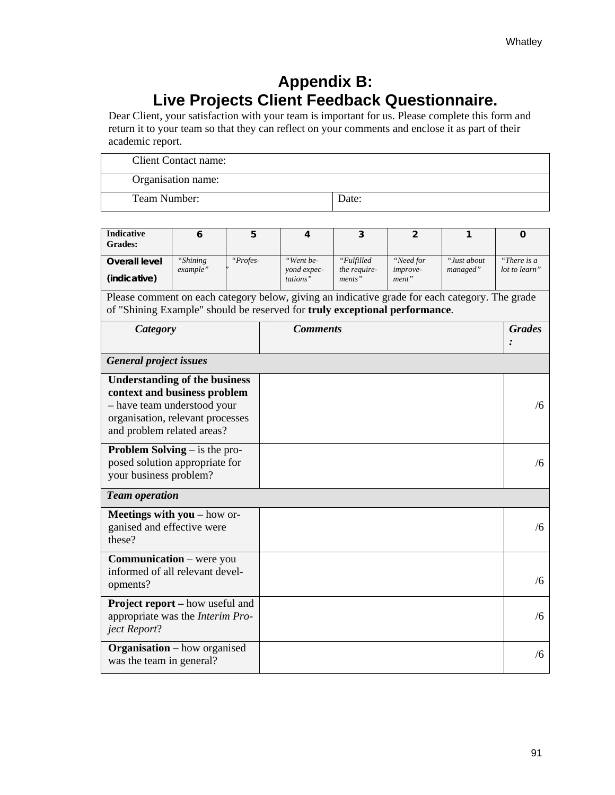# **Appendix B: Live Projects Client Feedback Questionnaire.**

Dear Client, your satisfaction with your team is important for us. Please complete this form and return it to your team so that they can reflect on your comments and enclose it as part of their academic report.

| Client Contact name: |       |
|----------------------|-------|
| Organisation name:   |       |
| Team Number:         | Date: |

| <b>Indicative</b><br>Grades:                                                                   | 6        | 5        |  | 4                       | 3                      | $\overline{2}$           | 1           | 0             |
|------------------------------------------------------------------------------------------------|----------|----------|--|-------------------------|------------------------|--------------------------|-------------|---------------|
| Overall level                                                                                  | "Shining | "Profes- |  | "Went be-               | "Fulfilled             | "Need for                | "Just about | "There is a   |
| (indicative)                                                                                   | example" |          |  | vond expec-<br>tations" | the require-<br>ments" | <i>improve-</i><br>ment" | managed"    | lot to learn" |
| Please comment on each category below, giving an indicative grade for each category. The grade |          |          |  |                         |                        |                          |             |               |
| of "Shining Example" should be reserved for truly exceptional performance.                     |          |          |  |                         |                        |                          |             |               |
| Category                                                                                       |          |          |  | <b>Grades</b>           |                        |                          |             |               |
|                                                                                                |          |          |  |                         |                        |                          |             |               |
| <b>General project issues</b>                                                                  |          |          |  |                         |                        |                          |             |               |
| <b>Understanding of the business</b>                                                           |          |          |  |                         |                        |                          |             |               |
| context and business problem                                                                   |          |          |  |                         |                        |                          |             | /6            |
| - have team understood your<br>organisation, relevant processes                                |          |          |  |                         |                        |                          |             |               |
| and problem related areas?                                                                     |          |          |  |                         |                        |                          |             |               |
| <b>Problem Solving</b> $-$ is the pro-                                                         |          |          |  |                         |                        |                          |             |               |
| posed solution appropriate for                                                                 |          |          |  |                         |                        |                          |             | /6            |
| your business problem?                                                                         |          |          |  |                         |                        |                          |             |               |
| <b>Team operation</b>                                                                          |          |          |  |                         |                        |                          |             |               |
| <b>Meetings with you</b> – how or-                                                             |          |          |  |                         |                        |                          |             |               |
| ganised and effective were<br>these?                                                           |          |          |  |                         |                        |                          |             | /6            |
|                                                                                                |          |          |  |                         |                        |                          |             |               |
| Communication - were you<br>informed of all relevant devel-                                    |          |          |  |                         |                        |                          |             |               |
| opments?                                                                                       |          |          |  |                         |                        |                          |             | /6            |
| <b>Project report</b> – how useful and                                                         |          |          |  |                         |                        |                          |             |               |
| appropriate was the Interim Pro-                                                               |          |          |  |                         |                        |                          |             | /6            |
| ject Report?                                                                                   |          |          |  |                         |                        |                          |             |               |
| <b>Organisation</b> – how organised                                                            |          |          |  |                         |                        |                          |             | /6            |
| was the team in general?                                                                       |          |          |  |                         |                        |                          |             |               |